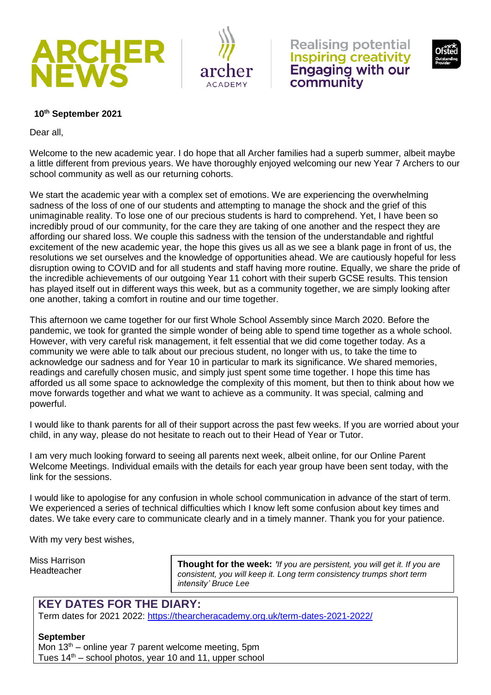



**Realising potential Inspiring creativity Engaging with our** community



#### **10th September 2021**

Dear all,

Welcome to the new academic year. I do hope that all Archer families had a superb summer, albeit maybe a little different from previous years. We have thoroughly enjoyed welcoming our new Year 7 Archers to our school community as well as our returning cohorts.

We start the academic year with a complex set of emotions. We are experiencing the overwhelming sadness of the loss of one of our students and attempting to manage the shock and the grief of this unimaginable reality. To lose one of our precious students is hard to comprehend. Yet, I have been so incredibly proud of our community, for the care they are taking of one another and the respect they are affording our shared loss. We couple this sadness with the tension of the understandable and rightful excitement of the new academic year, the hope this gives us all as we see a blank page in front of us, the resolutions we set ourselves and the knowledge of opportunities ahead. We are cautiously hopeful for less disruption owing to COVID and for all students and staff having more routine. Equally, we share the pride of the incredible achievements of our outgoing Year 11 cohort with their superb GCSE results. This tension has played itself out in different ways this week, but as a community together, we are simply looking after one another, taking a comfort in routine and our time together.

This afternoon we came together for our first Whole School Assembly since March 2020. Before the pandemic, we took for granted the simple wonder of being able to spend time together as a whole school. However, with very careful risk management, it felt essential that we did come together today. As a community we were able to talk about our precious student, no longer with us, to take the time to acknowledge our sadness and for Year 10 in particular to mark its significance. We shared memories, readings and carefully chosen music, and simply just spent some time together. I hope this time has afforded us all some space to acknowledge the complexity of this moment, but then to think about how we move forwards together and what we want to achieve as a community. It was special, calming and powerful.

I would like to thank parents for all of their support across the past few weeks. If you are worried about your child, in any way, please do not hesitate to reach out to their Head of Year or Tutor.

I am very much looking forward to seeing all parents next week, albeit online, for our Online Parent Welcome Meetings. Individual emails with the details for each year group have been sent today, with the link for the sessions.

I would like to apologise for any confusion in whole school communication in advance of the start of term. We experienced a series of technical difficulties which I know left some confusion about key times and dates. We take every care to communicate clearly and in a timely manner. Thank you for your patience.

With my very best wishes,

Miss Harrison Headteacher

**Thought for the week:** *'If you are persistent, you will get it. If you are consistent, you will keep it. Long term consistency trumps short term intensity' Bruce Lee*

### **KEY DATES FOR THE DIARY:**

Term dates for 2021 2022:<https://thearcheracademy.org.uk/term-dates-2021-2022/>

#### **September**

Mon  $13<sup>th</sup>$  – online year 7 parent welcome meeting, 5pm Tues  $14<sup>th</sup>$  – school photos, year 10 and 11, upper school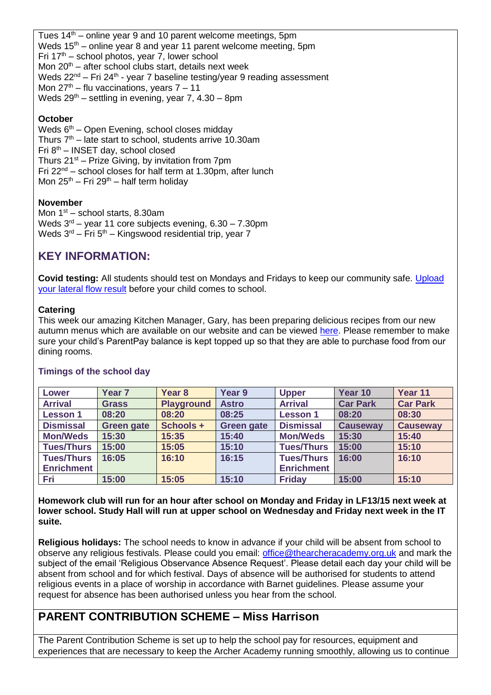Tues 14<sup>th</sup> – online year 9 and 10 parent welcome meetings, 5pm Weds  $15<sup>th</sup>$  – online year 8 and year 11 parent welcome meeting, 5pm Fri  $17<sup>th</sup>$  – school photos, year 7, lower school Mon  $20^{th}$  – after school clubs start, details next week Weds 22<sup>nd</sup> – Fri 24<sup>th</sup> - year 7 baseline testing/year 9 reading assessment Mon  $27<sup>th</sup>$  – flu vaccinations, vears  $7 - 11$ Weds  $29<sup>th</sup>$  – settling in evening, year 7, 4.30 – 8pm

### **October**

Weds  $6<sup>th</sup>$  – Open Evening, school closes midday Thurs  $7<sup>th</sup>$  – late start to school, students arrive 10.30am Fri  $8<sup>th</sup>$  – INSET day, school closed Thurs  $21^{st}$  – Prize Giving, by invitation from 7pm Fri  $22^{nd}$  – school closes for half term at 1.30pm, after lunch Mon  $25<sup>th</sup>$  – Fri  $29<sup>th</sup>$  – half term holiday

### **November**

Mon  $1<sup>st</sup>$  – school starts, 8.30am Weds  $3<sup>rd</sup>$  – year 11 core subjects evening,  $6.30 - 7.30$ pm Weds 3<sup>rd</sup> – Fri 5<sup>th</sup> – Kingswood residential trip, year 7

# **KEY INFORMATION:**

**Covid testing:** All students should test on Mondays and Fridays to keep our community safe. [Upload](https://forms.office.com/r/smZTBhkxXm)  [your lateral flow result](https://forms.office.com/r/smZTBhkxXm) before your child comes to school.

#### **Catering**

This week our amazing Kitchen Manager, Gary, has been preparing delicious recipes from our new autumn menus which are available on our website and can be viewed [here.](https://thearcheracademy.org.uk/parents/) Please remember to make sure your child's ParentPay balance is kept topped up so that they are able to purchase food from our dining rooms.

| <b>Lower</b>      | Year <sub>7</sub> | Year 8            | Year 9            | <b>Upper</b>      | Year 10         | Year 11         |
|-------------------|-------------------|-------------------|-------------------|-------------------|-----------------|-----------------|
| <b>Arrival</b>    | <b>Grass</b>      | <b>Playground</b> | <b>Astro</b>      | <b>Arrival</b>    | <b>Car Park</b> | <b>Car Park</b> |
| <b>Lesson 1</b>   | 08:20             | 08:20             | 08:25             | <b>Lesson 1</b>   | 08:20           | 08:30           |
| <b>Dismissal</b>  | <b>Green gate</b> | Schools +         | <b>Green gate</b> | <b>Dismissal</b>  | <b>Causeway</b> | <b>Causeway</b> |
| <b>Mon/Weds</b>   | 15:30             | 15:35             | 15:40             | <b>Mon/Weds</b>   | 15:30           | 15:40           |
| <b>Tues/Thurs</b> | 15:00             | 15:05             | 15:10             | <b>Tues/Thurs</b> | 15:00           | 15:10           |
| <b>Tues/Thurs</b> | 16:05             | 16:10             | 16:15             | <b>Tues/Thurs</b> | 16:00           | 16:10           |
| <b>Enrichment</b> |                   |                   |                   | <b>Enrichment</b> |                 |                 |
| <b>Fri</b>        | 15:00             | 15:05             | 15:10             | <b>Friday</b>     | 15:00           | 15:10           |

### **Timings of the school day**

**Homework club will run for an hour after school on Monday and Friday in LF13/15 next week at lower school. Study Hall will run at upper school on Wednesday and Friday next week in the IT suite.** 

**Religious holidays:** The school needs to know in advance if your child will be absent from school to observe any religious festivals. Please could you email: [office@thearcheracademy.org.uk](mailto:office@thearcheracademy.org.uk) and mark the subject of the email 'Religious Observance Absence Request'. Please detail each day your child will be absent from school and for which festival. Days of absence will be authorised for students to attend religious events in a place of worship in accordance with Barnet guidelines. Please assume your request for absence has been authorised unless you hear from the school.

### **PARENT CONTRIBUTION SCHEME – Miss Harrison**

The Parent Contribution Scheme is set up to help the school pay for resources, equipment and experiences that are necessary to keep the Archer Academy running smoothly, allowing us to continue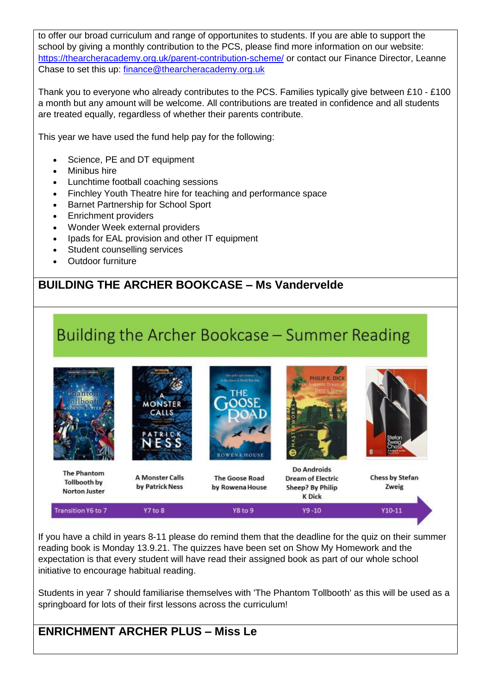to offer our broad curriculum and range of opportunites to students. If you are able to support the school by giving a monthly contribution to the PCS, please find more information on our website: <https://thearcheracademy.org.uk/parent-contribution-scheme/> or contact our Finance Director, Leanne Chase to set this up: [finance@thearcheracademy.org.uk](mailto:finance@thearcheracademy.org.uk)

Thank you to everyone who already contributes to the PCS. Families typically give between £10 - £100 a month but any amount will be welcome. All contributions are treated in confidence and all students are treated equally, regardless of whether their parents contribute.

This year we have used the fund help pay for the following:

- Science, PE and DT equipment
- **Minibus hire**
- Lunchtime football coaching sessions
- Finchley Youth Theatre hire for teaching and performance space
- Barnet Partnership for School Sport
- Enrichment providers
- Wonder Week external providers
- Ipads for EAL provision and other IT equipment
- Student counselling services
- Outdoor furniture

### **BUILDING THE ARCHER BOOKCASE – Ms Vandervelde**

# Building the Archer Bookcase - Summer Reading



If you have a child in years 8-11 please do remind them that the deadline for the quiz on their summer reading book is Monday 13.9.21. The quizzes have been set on Show My Homework and the expectation is that every student will have read their assigned book as part of our whole school initiative to encourage habitual reading.

Students in year 7 should familiarise themselves with 'The Phantom Tollbooth' as this will be used as a springboard for lots of their first lessons across the curriculum!

### **ENRICHMENT ARCHER PLUS – Miss Le**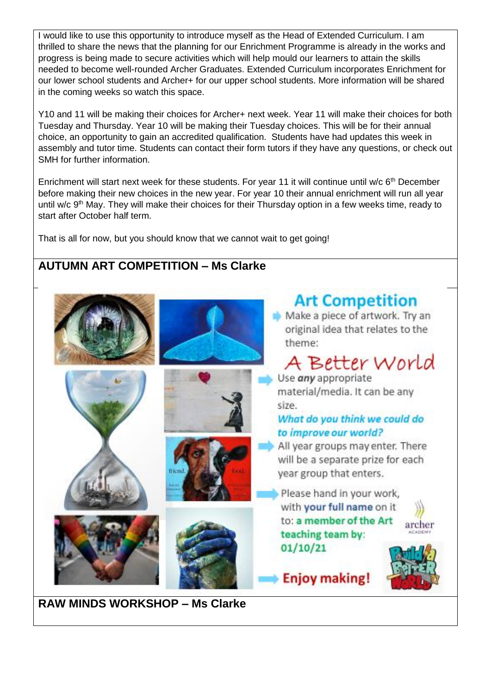I would like to use this opportunity to introduce myself as the Head of Extended Curriculum. I am thrilled to share the news that the planning for our Enrichment Programme is already in the works and progress is being made to secure activities which will help mould our learners to attain the skills needed to become well-rounded Archer Graduates. Extended Curriculum incorporates Enrichment for our lower school students and Archer+ for our upper school students. More information will be shared in the coming weeks so watch this space.

Y10 and 11 will be making their choices for Archer+ next week. Year 11 will make their choices for both Tuesday and Thursday. Year 10 will be making their Tuesday choices. This will be for their annual choice, an opportunity to gain an accredited qualification. Students have had updates this week in assembly and tutor time. Students can contact their form tutors if they have any questions, or check out SMH for further information.

Enrichment will start next week for these students. For year 11 it will continue until w/c 6<sup>th</sup> December before making their new choices in the new year. For year 10 their annual enrichment will run all year until w/c 9<sup>th</sup> May. They will make their choices for their Thursday option in a few weeks time, ready to start after October half term.

That is all for now, but you should know that we cannot wait to get going!

## **AUTUMN ART COMPETITION – Ms Clarke**



**RAW MINDS WORKSHOP – Ms Clarke**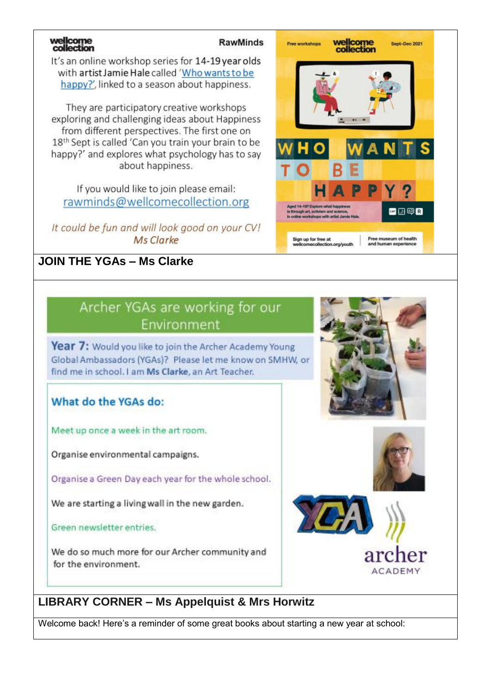# wellcome<br>collection

### **RawMinds**

It's an online workshop series for 14-19 year olds with artist Jamie Hale called 'Who wants to be happy?', linked to a season about happiness.

They are participatory creative workshops exploring and challenging ideas about Happiness from different perspectives. The first one on 18<sup>th</sup> Sept is called 'Can you train your brain to be happy?' and explores what psychology has to say about happiness.

If you would like to join please email: rawminds@wellcomecollection.org

It could be fun and will look good on your CV! Ms Clarke

# **JOIN THE YGAs – Ms Clarke**



# Archer YGAs are working for our Environment

Year 7: Would you like to join the Archer Academy Young Global Ambassadors (YGAs)? Please let me know on SMHW, or find me in school. I am Ms Clarke, an Art Teacher.

# What do the YGAs do:

Meet up once a week in the art room.

Organise environmental campaigns.

Organise a Green Day each year for the whole school.

We are starting a living wall in the new garden.

Green newsletter entries.

We do so much more for our Archer community and for the environment.





# **ACADEMY**

# **LIBRARY CORNER – Ms Appelquist & Mrs Horwitz**

Welcome back! Here's a reminder of some great books about starting a new year at school: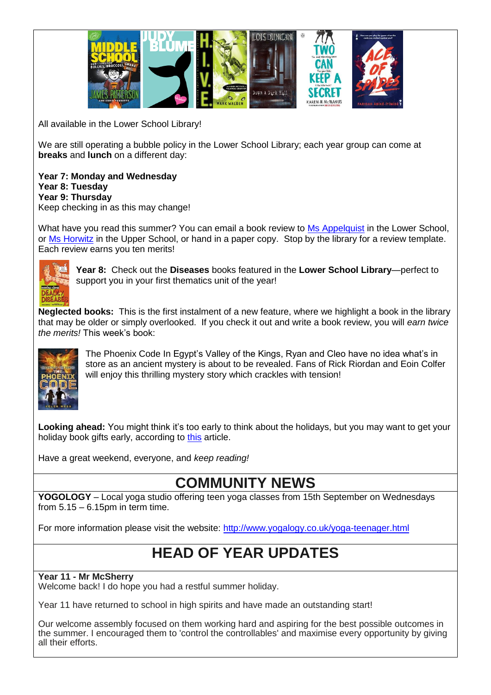

All available in the Lower School Library!

We are still operating a bubble policy in the Lower School Library; each year group can come at **breaks** and **lunch** on a different day:

**Year 7: Monday and Wednesday Year 8: Tuesday Year 9: Thursday** Keep checking in as this may change!

What have you read this summer? You can email a book review to [Ms Appelquist](mailto:mrsaappelquist@thearcheracademy.org.uk) in the Lower School, or [Ms Horwitz](mailto:Mrsrhorwitz@thearcheracademy.org.uk) in the Upper School, or hand in a paper copy. Stop by the library for a review template. Each review earns you ten merits!



**Year 8:** Check out the **Diseases** books featured in the **Lower School Library**—perfect to support you in your first thematics unit of the year!

**Neglected books:** This is the first instalment of a new feature, where we highlight a book in the library that may be older or simply overlooked. If you check it out and write a book review, you will *earn twice the merits!* This week's book:



The Phoenix Code In Egypt's Valley of the Kings, Ryan and Cleo have no idea what's in store as an ancient mystery is about to be revealed. Fans of Rick Riordan and Eoin Colfer will enjoy this thrilling mystery story which crackles with tension!

Looking ahead: You might think it's too early to think about the holidays, but you may want to get your holiday book gifts early, according to [this](https://www.theguardian.com/business/2021/sep/07/booksellers-warn-over-christmas-supplies-amid-uk-lorry-driver-shortager) article.

Have a great weekend, everyone, and *keep reading!*

**COMMUNITY NEWS**

**YOGOLOGY** – Local yoga studio offering teen yoga classes from 15th September on Wednesdays from  $5.15 - 6.15$ pm in term time.

For more information please visit the website:<http://www.yogalogy.co.uk/yoga-teenager.html>

# **HEAD OF YEAR UPDATES**

### **Year 11 - Mr McSherry**

Welcome back! I do hope you had a restful summer holiday.

Year 11 have returned to school in high spirits and have made an outstanding start!

Our welcome assembly focused on them working hard and aspiring for the best possible outcomes in the summer. I encouraged them to 'control the controllables' and maximise every opportunity by giving all their efforts.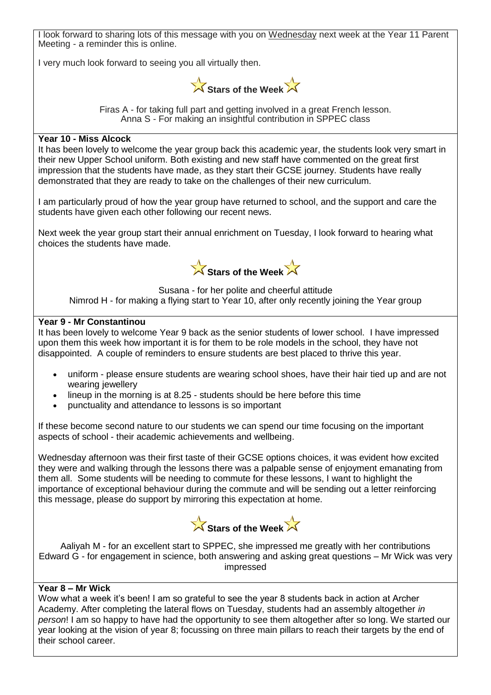I look forward to sharing lots of this message with you on Wednesday next week at the Year 11 Parent Meeting - a reminder this is online. I very much look forward to seeing you all virtually then. Stars of the Week Firas A - for taking full part and getting involved in a great French lesson. Anna S - For making an insightful contribution in SPPEC class **Year 10 - Miss Alcock** It has been lovely to welcome the year group back this academic year, the students look very smart in their new Upper School uniform. Both existing and new staff have commented on the great first impression that the students have made, as they start their GCSE journey. Students have really demonstrated that they are ready to take on the challenges of their new curriculum. I am particularly proud of how the year group have returned to school, and the support and care the students have given each other following our recent news. Next week the year group start their annual enrichment on Tuesday, I look forward to hearing what choices the students have made. **Stars of the Week** Susana - for her polite and cheerful attitude Nimrod H - for making a flying start to Year 10, after only recently joining the Year group **Year 9 - Mr Constantinou** It has been lovely to welcome Year 9 back as the senior students of lower school. I have impressed upon them this week how important it is for them to be role models in the school, they have not disappointed. A couple of reminders to ensure students are best placed to thrive this year. • uniform - please ensure students are wearing school shoes, have their hair tied up and are not wearing jewellery • lineup in the morning is at 8.25 - students should be here before this time

• punctuality and attendance to lessons is so important

If these become second nature to our students we can spend our time focusing on the important aspects of school - their academic achievements and wellbeing.

Wednesday afternoon was their first taste of their GCSE options choices, it was evident how excited they were and walking through the lessons there was a palpable sense of enjoyment emanating from them all. Some students will be needing to commute for these lessons, I want to highlight the importance of exceptional behaviour during the commute and will be sending out a letter reinforcing this message, please do support by mirroring this expectation at home.



Aaliyah M - for an excellent start to SPPEC, she impressed me greatly with her contributions Edward G - for engagement in science, both answering and asking great questions – Mr Wick was very impressed

### **Year 8 – Mr Wick**

Wow what a week it's been! I am so grateful to see the year 8 students back in action at Archer Academy. After completing the lateral flows on Tuesday, students had an assembly altogether *in person*! I am so happy to have had the opportunity to see them altogether after so long. We started our year looking at the vision of year 8; focussing on three main pillars to reach their targets by the end of their school career.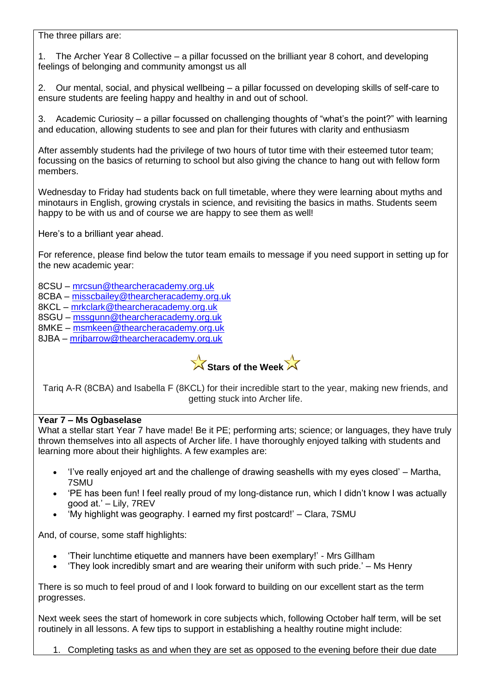The three pillars are:

1. The Archer Year 8 Collective – a pillar focussed on the brilliant year 8 cohort, and developing feelings of belonging and community amongst us all

2. Our mental, social, and physical wellbeing – a pillar focussed on developing skills of self-care to ensure students are feeling happy and healthy in and out of school.

3. Academic Curiosity – a pillar focussed on challenging thoughts of "what's the point?" with learning and education, allowing students to see and plan for their futures with clarity and enthusiasm

After assembly students had the privilege of two hours of tutor time with their esteemed tutor team; focussing on the basics of returning to school but also giving the chance to hang out with fellow form members.

Wednesday to Friday had students back on full timetable, where they were learning about myths and minotaurs in English, growing crystals in science, and revisiting the basics in maths. Students seem happy to be with us and of course we are happy to see them as well!

Here's to a brilliant year ahead.

For reference, please find below the tutor team emails to message if you need support in setting up for the new academic year:

8CSU – [mrcsun@thearcheracademy.org.uk](mailto:mrcsun@thearcheracademy.org.uk)

8CBA – [misscbailey@thearcheracademy.org.uk](mailto:misscbailey@thearcheracademy.org.uk)

8KCL – [mrkclark@thearcheracademy.org.uk](mailto:mrkclark@thearcheracademy.org.uk)

8SGU – [mssgunn@thearcheracademy.org.uk](mailto:mssgunn@thearcheracademy.org.uk)

8MKE – [msmkeen@thearcheracademy.org.uk](mailto:msmkeen@thearcheracademy.org.uk)

8JBA – [mrjbarrow@thearcheracademy.org.uk](mailto:mrjbarrow@thearcheracademy.org.uk)



Tariq A-R (8CBA) and Isabella F (8KCL) for their incredible start to the year, making new friends, and getting stuck into Archer life.

### **Year 7 – Ms Ogbaselase**

What a stellar start Year 7 have made! Be it PE; performing arts; science; or languages, they have truly thrown themselves into all aspects of Archer life. I have thoroughly enjoyed talking with students and learning more about their highlights. A few examples are:

- 'I've really enjoyed art and the challenge of drawing seashells with my eyes closed' Martha, 7SMU
- 'PE has been fun! I feel really proud of my long-distance run, which I didn't know I was actually good at.' – Lily, 7REV
- 'My highlight was geography. I earned my first postcard!' Clara, 7SMU

And, of course, some staff highlights:

- 'Their lunchtime etiquette and manners have been exemplary!' Mrs Gillham
- 'They look incredibly smart and are wearing their uniform with such pride.' Ms Henry

There is so much to feel proud of and I look forward to building on our excellent start as the term progresses.

Next week sees the start of homework in core subjects which, following October half term, will be set routinely in all lessons. A few tips to support in establishing a healthy routine might include:

1. Completing tasks as and when they are set as opposed to the evening before their due date